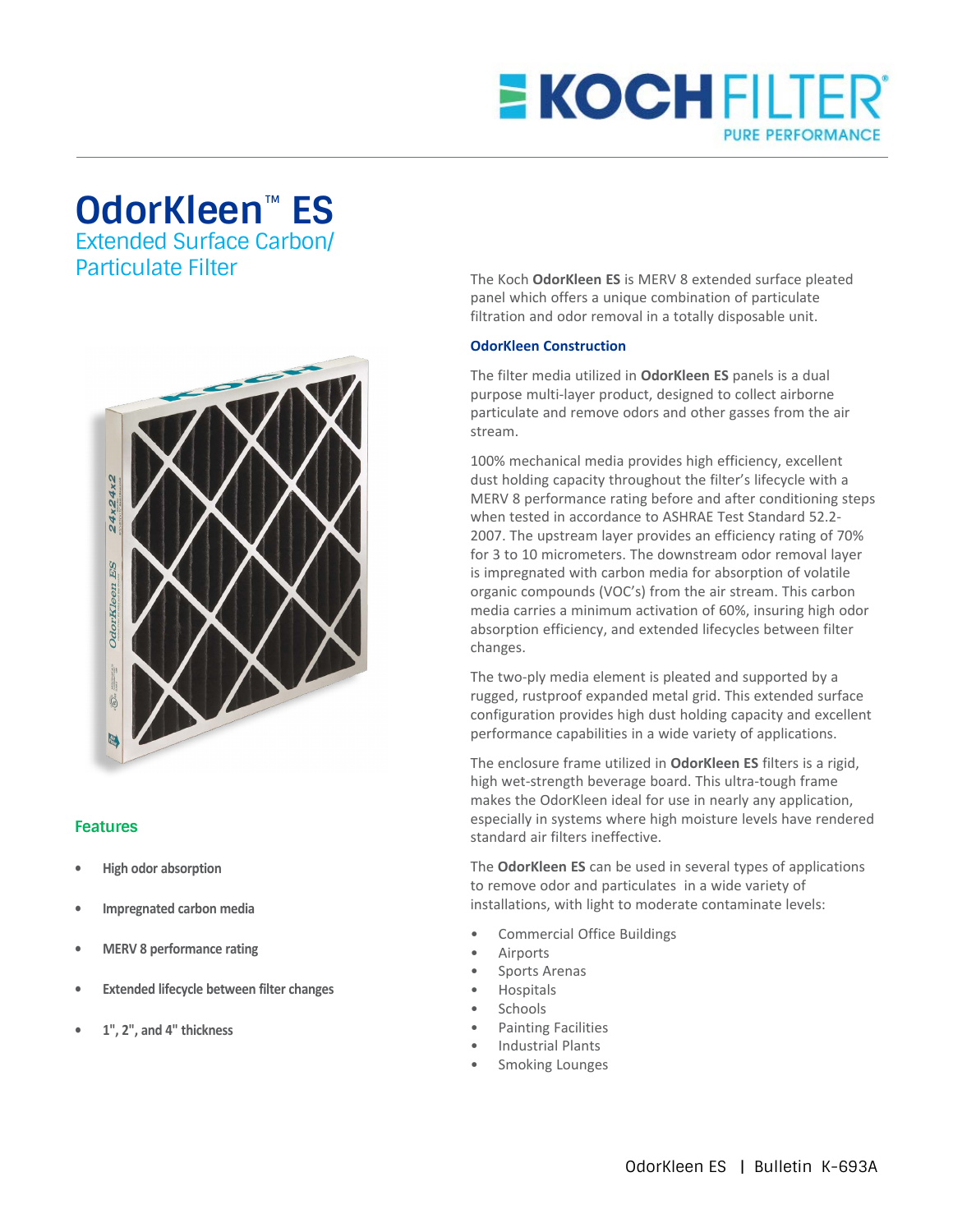## **E KOCH FILTER® PURE PERFORMANCE**

## **OdorKleen**™ **ES**

Extended Surface Carbon/ Particulate Filter



## **Features**

- **• High odor absorption**
- **• Impregnated carbon media**
- **• MERV 8 performance rating**
- **• Extended lifecycle between filter changes**
- **• 1", 2", and 4" thickness**

The Koch **OdorKleen ES** is MERV 8 extended surface pleated panel which offers a unique combination of particulate filtration and odor removal in a totally disposable unit.

## **OdorKleen Construction**

The filter media utilized in **OdorKleen ES** panels is a dual purpose multi-layer product, designed to collect airborne particulate and remove odors and other gasses from the air stream.

100% mechanical media provides high efficiency, excellent dust holding capacity throughout the filter's lifecycle with a MERV 8 performance rating before and after conditioning steps when tested in accordance to ASHRAE Test Standard 52.2- 2007. The upstream layer provides an efficiency rating of 70% for 3 to 10 micrometers. The downstream odor removal layer is impregnated with carbon media for absorption of volatile organic compounds (VOC's) from the air stream. This carbon media carries a minimum activation of 60%, insuring high odor absorption efficiency, and extended lifecycles between filter changes.

The two-ply media element is pleated and supported by a rugged, rustproof expanded metal grid. This extended surface configuration provides high dust holding capacity and excellent performance capabilities in a wide variety of applications.

The enclosure frame utilized in **OdorKleen ES** filters is a rigid, high wet-strength beverage board. This ultra-tough frame makes the OdorKleen ideal for use in nearly any application, especially in systems where high moisture levels have rendered standard air filters ineffective.

The **OdorKleen ES** can be used in several types of applications to remove odor and particulates in a wide variety of installations, with light to moderate contaminate levels:

- Commercial Office Buildings
- **Airports**
- Sports Arenas
- Hospitals
- **Schools**
- Painting Facilities
- Industrial Plants
- Smoking Lounges